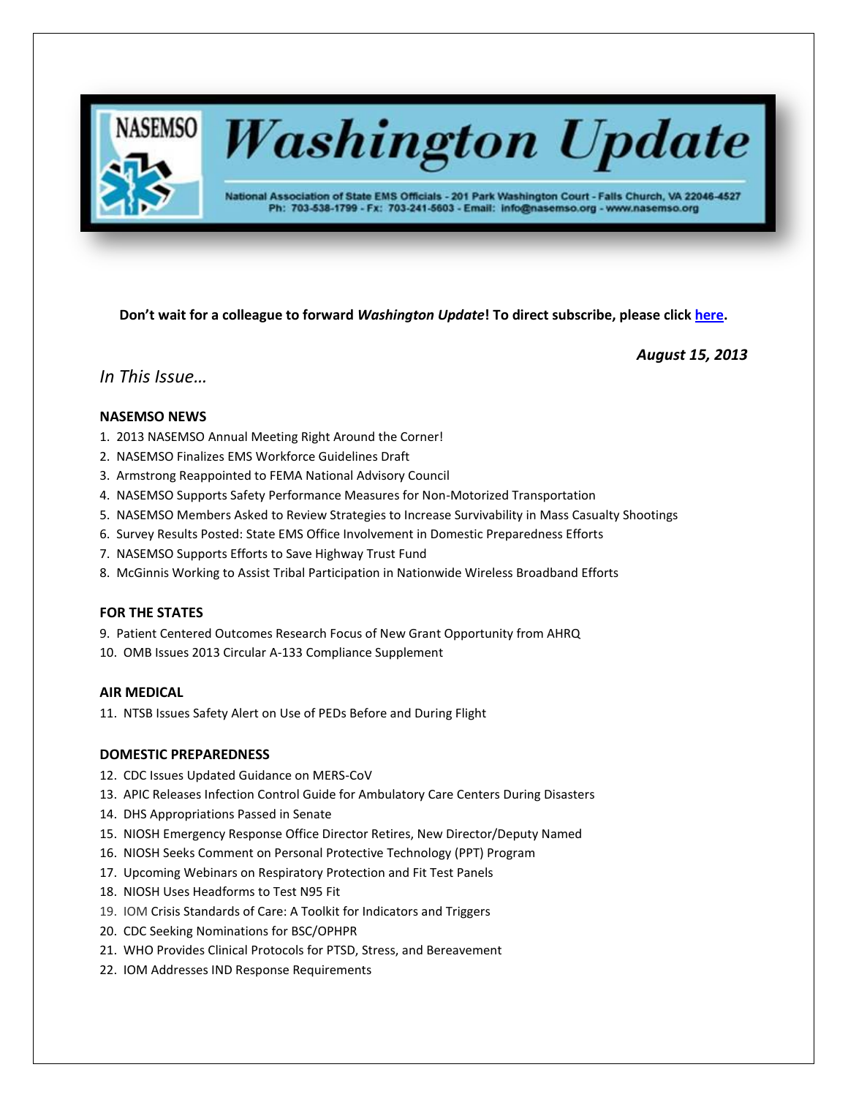

# **Washington Update**

National Association of State EMS Officials - 201 Park Washington Court - Falls Church, VA 22046-4527 Ph: 703-538-1799 - Fx: 703-241-5603 - Email: info@nasemso.org - www.nasemso.org

**Don't wait for a colleague to forward** *Washington Update***! To direct subscribe, please click [here.](http://lists.nasemso.org/read/all_forums/subscribe?name=wu%20)**

*August 15, 2013*

## *In This Issue…*

## **NASEMSO NEWS**

- 1. 2013 NASEMSO Annual Meeting Right Around the Corner!
- 2. NASEMSO Finalizes EMS Workforce Guidelines Draft
- 3. Armstrong Reappointed to FEMA National Advisory Council
- 4. NASEMSO Supports Safety Performance Measures for Non-Motorized Transportation
- 5. NASEMSO Members Asked to Review Strategies to Increase Survivability in Mass Casualty Shootings
- 6. Survey Results Posted: State EMS Office Involvement in Domestic Preparedness Efforts
- 7. NASEMSO Supports Efforts to Save Highway Trust Fund
- 8. McGinnis Working to Assist Tribal Participation in Nationwide Wireless Broadband Efforts

## **FOR THE STATES**

9. Patient Centered Outcomes Research Focus of New Grant Opportunity from AHRQ

10. OMB Issues 2013 Circular A-133 Compliance Supplement

## **AIR MEDICAL**

11. NTSB Issues Safety Alert on Use of PEDs Before and During Flight

## **DOMESTIC PREPAREDNESS**

- 12. CDC Issues Updated Guidance on MERS-CoV
- 13. APIC Releases Infection Control Guide for Ambulatory Care Centers During Disasters
- 14. DHS Appropriations Passed in Senate
- 15. NIOSH Emergency Response Office Director Retires, New Director/Deputy Named
- 16. NIOSH Seeks Comment on Personal Protective Technology (PPT) Program
- 17. Upcoming Webinars on Respiratory Protection and Fit Test Panels
- 18. NIOSH Uses Headforms to Test N95 Fit
- 19. IOM Crisis Standards of Care: A Toolkit for Indicators and Triggers
- 20. CDC Seeking Nominations for BSC/OPHPR
- 21. WHO Provides Clinical Protocols for PTSD, Stress, and Bereavement
- 22. IOM Addresses IND Response Requirements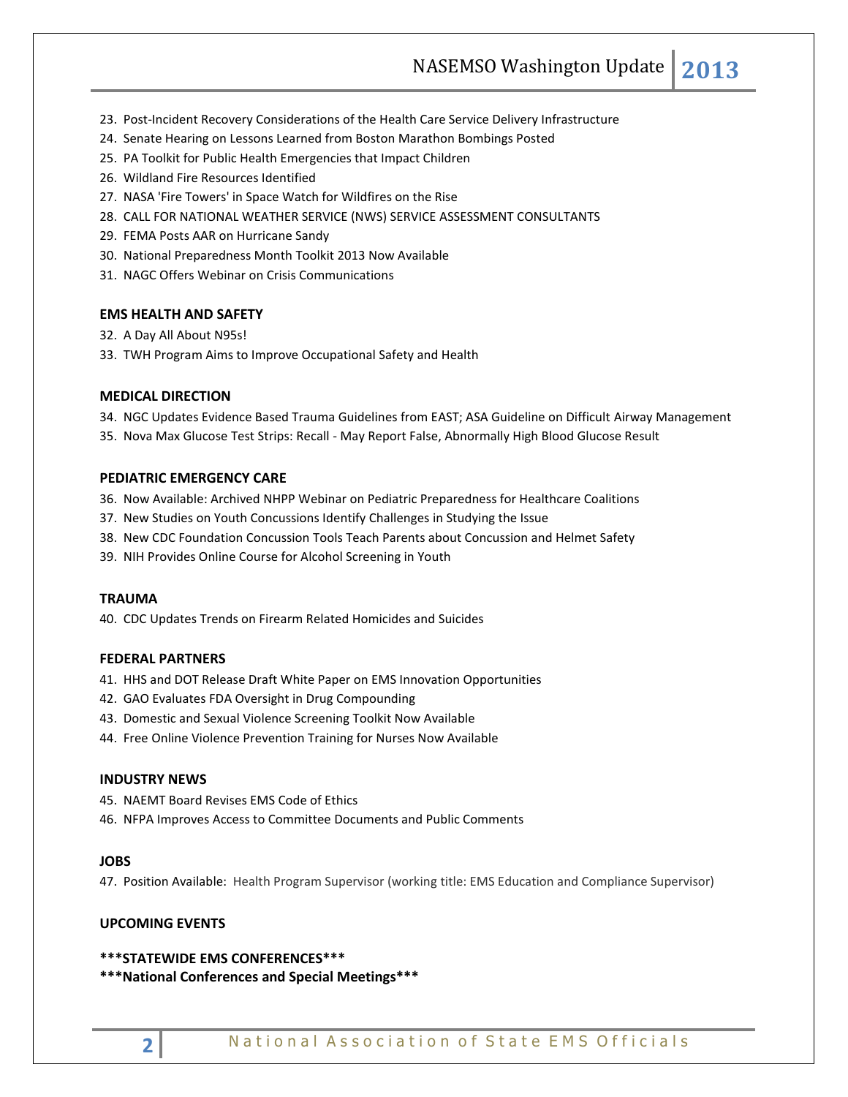- 23. Post-Incident Recovery Considerations of the Health Care Service Delivery Infrastructure
- 24. Senate Hearing on Lessons Learned from Boston Marathon Bombings Posted
- 25. PA Toolkit for Public Health Emergencies that Impact Children
- 26. Wildland Fire Resources Identified
- 27. NASA 'Fire Towers' in Space Watch for Wildfires on the Rise
- 28. CALL FOR NATIONAL WEATHER SERVICE (NWS) SERVICE ASSESSMENT CONSULTANTS
- 29. FEMA Posts AAR on Hurricane Sandy
- 30. National Preparedness Month Toolkit 2013 Now Available
- 31. NAGC Offers Webinar on Crisis Communications

## **EMS HEALTH AND SAFETY**

- 32. A Day All About N95s!
- 33. TWH Program Aims to Improve Occupational Safety and Health

## **MEDICAL DIRECTION**

- 34. NGC Updates Evidence Based Trauma Guidelines from EAST; ASA Guideline on Difficult Airway Management
- 35. Nova Max Glucose Test Strips: Recall May Report False, Abnormally High Blood Glucose Result

#### **PEDIATRIC EMERGENCY CARE**

- 36. Now Available: Archived NHPP Webinar on Pediatric Preparedness for Healthcare Coalitions
- 37. New Studies on Youth Concussions Identify Challenges in Studying the Issue
- 38. New CDC Foundation Concussion Tools Teach Parents about Concussion and Helmet Safety
- 39. NIH Provides Online Course for Alcohol Screening in Youth

#### **TRAUMA**

40. CDC Updates Trends on Firearm Related Homicides and Suicides

## **FEDERAL PARTNERS**

- 41. HHS and DOT Release Draft White Paper on EMS Innovation Opportunities
- 42. GAO Evaluates FDA Oversight in Drug Compounding
- 43. Domestic and Sexual Violence Screening Toolkit Now Available
- 44. Free Online Violence Prevention Training for Nurses Now Available

#### **INDUSTRY NEWS**

- 45. NAEMT Board Revises EMS Code of Ethics
- 46. NFPA Improves Access to Committee Documents and Public Comments

## **JOBS**

47. Position Available: Health Program Supervisor (working title: EMS Education and Compliance Supervisor)

#### **UPCOMING EVENTS**

#### **\*\*\*STATEWIDE EMS CONFERENCES\*\*\***

**\*\*\*National Conferences and Special Meetings\*\*\***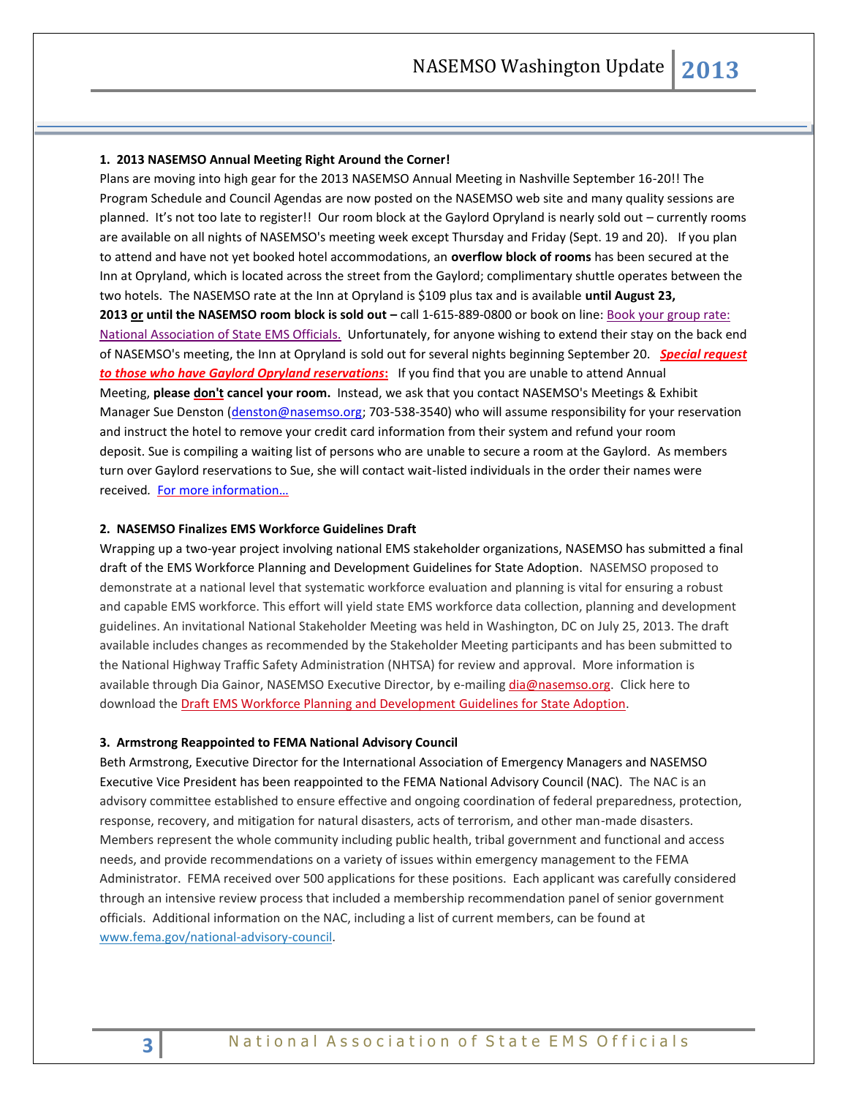#### **1. 2013 NASEMSO Annual Meeting Right Around the Corner!**

Plans are moving into high gear for the 2013 NASEMSO Annual Meeting in Nashville September 16-20!! The Program Schedule and Council Agendas are now posted on the NASEMSO web site and many quality sessions are planned. It's not too late to register!! Our room block at the Gaylord Opryland is nearly sold out – currently rooms are available on all nights of NASEMSO's meeting week except Thursday and Friday (Sept. 19 and 20). If you plan to attend and have not yet booked hotel accommodations, an **overflow block of rooms** has been secured at the Inn at Opryland, which is located across the street from the Gaylord; complimentary shuttle operates between the two hotels. The NASEMSO rate at the Inn at Opryland is \$109 plus tax and is available **until August 23, 2013 or until the NASEMSO room block is sold out –** call 1-615-889-0800 or book on line: [Book your group rate:](http://www.marriott.com/meeting-event-hotels/group-corporate-travel/groupCorp.mi?resLinkData=National%20Association%20of%20State%20EMS%20Officials%5EBNAGI%60EMSEMSA%60109%60USD%60false%609/12/13%609/23/13%608/23/13&app=resvlink&stop_mobi=yes)  [National Association of State EMS Officials.](http://www.marriott.com/meeting-event-hotels/group-corporate-travel/groupCorp.mi?resLinkData=National%20Association%20of%20State%20EMS%20Officials%5EBNAGI%60EMSEMSA%60109%60USD%60false%609/12/13%609/23/13%608/23/13&app=resvlink&stop_mobi=yes) Unfortunately, for anyone wishing to extend their stay on the back end of NASEMSO's meeting, the Inn at Opryland is sold out for several nights beginning September 20. *Special request to those who have Gaylord Opryland reservations***:** If you find that you are unable to attend Annual Meeting, **please don't cancel your room.** Instead, we ask that you contact NASEMSO's Meetings & Exhibit Manager Sue Denston [\(denston@nasemso.org;](mailto:denston@nasemso.org) 703-538-3540) who will assume responsibility for your reservation and instruct the hotel to remove your credit card information from their system and refund your room deposit. Sue is compiling a waiting list of persons who are unable to secure a room at the Gaylord. As members turn over Gaylord reservations to Sue, she will contact wait-listed individuals in the order their names were received*.* [For more information…](https://www.nasemso.org/Meetings/Annual/AnnualMeeting2013.asp)

#### **2. NASEMSO Finalizes EMS Workforce Guidelines Draft**

Wrapping up a two-year project involving national EMS stakeholder organizations, NASEMSO has submitted a final draft of the EMS Workforce Planning and Development Guidelines for State Adoption. NASEMSO proposed to demonstrate at a national level that systematic workforce evaluation and planning is vital for ensuring a robust and capable EMS workforce. This effort will yield state EMS workforce data collection, planning and development guidelines. An invitational National Stakeholder Meeting was held in Washington, DC on July 25, 2013. The draft available includes changes as recommended by the Stakeholder Meeting participants and has been submitted to the National Highway Traffic Safety Administration (NHTSA) for review and approval. More information is available through Dia Gainor, NASEMSO Executive Director, by e-mailin[g dia@nasemso.org.](mailto:dia@nasemso.org) Click here to download th[e Draft EMS Workforce Planning and Development Guidelines for State Adoption.](http://www.nasemso.org/documents/EMS-Workforce-Guidelines-02Aug2013.pdf)

#### **3. Armstrong Reappointed to FEMA National Advisory Council**

Beth Armstrong, Executive Director for the International Association of Emergency Managers and NASEMSO Executive Vice President has been reappointed to the FEMA National Advisory Council (NAC). The NAC is an advisory committee established to ensure effective and ongoing coordination of federal preparedness, protection, response, recovery, and mitigation for natural disasters, acts of terrorism, and other man-made disasters. Members represent the whole community including public health, tribal government and functional and access needs, and provide recommendations on a variety of issues within emergency management to the FEMA Administrator. FEMA received over 500 applications for these positions. Each applicant was carefully considered through an intensive review process that included a membership recommendation panel of senior government officials. Additional information on the NAC, including a list of current members, can be found at [www.fema.gov/national-advisory-council.](http://www.fema.gov/national-advisory-council)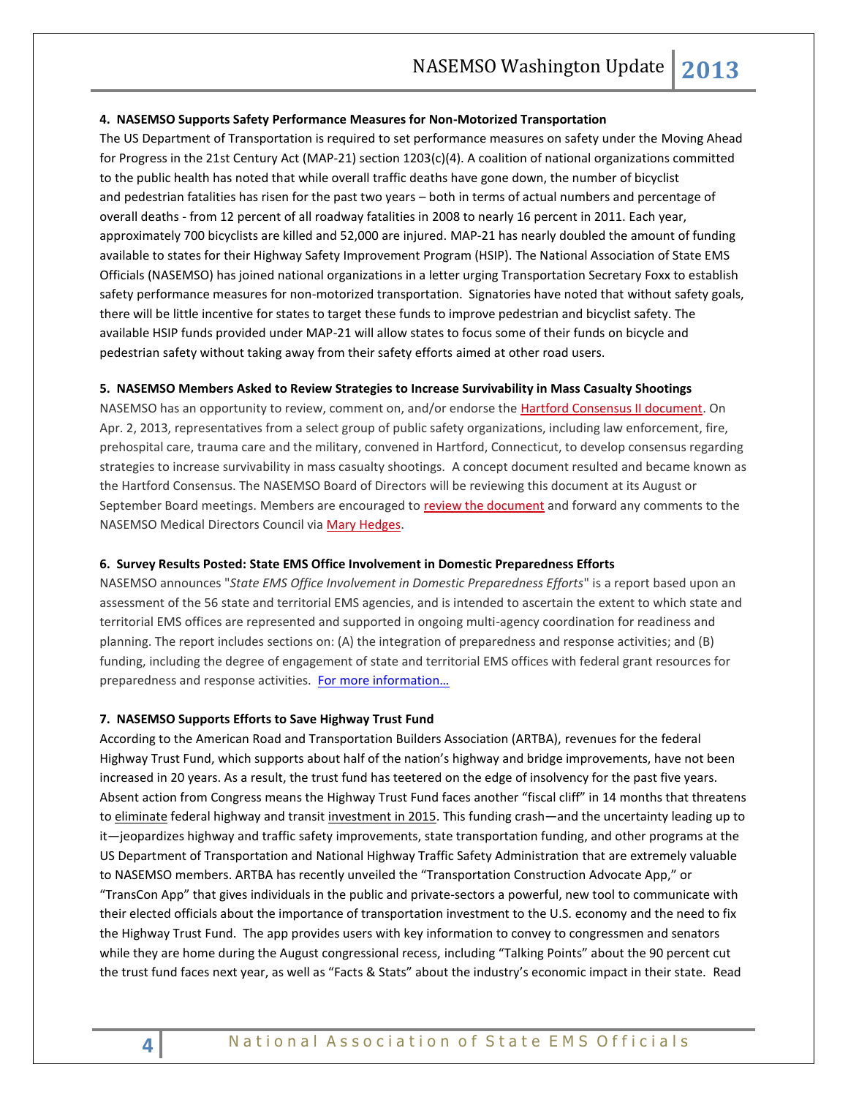#### **4. NASEMSO Supports Safety Performance Measures for Non-Motorized Transportation**

The US Department of Transportation is required to set performance measures on safety under the Moving Ahead for Progress in the 21st Century Act (MAP-21) section 1203(c)(4). A coalition of national organizations committed to the public health has noted that while overall traffic deaths have gone down, the number of bicyclist and pedestrian fatalities has risen for the past two years – both in terms of actual numbers and percentage of overall deaths - from 12 percent of all roadway fatalities in 2008 to nearly 16 percent in 2011. Each year, approximately 700 bicyclists are killed and 52,000 are injured. MAP-21 has nearly doubled the amount of funding available to states for their Highway Safety Improvement Program (HSIP). The National Association of State EMS Officials (NASEMSO) has joined national organizations in a letter urging Transportation Secretary Foxx to establish safety performance measures for non-motorized transportation. Signatories have noted that without safety goals, there will be little incentive for states to target these funds to improve pedestrian and bicyclist safety. The available HSIP funds provided under MAP-21 will allow states to focus some of their funds on bicycle and pedestrian safety without taking away from their safety efforts aimed at other road users.

#### **5. NASEMSO Members Asked to Review Strategies to Increase Survivability in Mass Casualty Shootings**

NASEMSO has an opportunity to review, comment on, and/or endorse the [Hartford Consensus II document.](https://www.nasemso.org/documents/Hartford-Consensus-II-25July2013.pdf) On Apr. 2, 2013, representatives from a select group of public safety organizations, including law enforcement, fire, prehospital care, trauma care and the military, convened in Hartford, Connecticut, to develop consensus regarding strategies to increase survivability in mass casualty shootings. A concept document resulted and became known as the Hartford Consensus. The NASEMSO Board of Directors will be reviewing this document at its August or September Board meetings. Members are encouraged to [review the document](https://www.nasemso.org/documents/Hartford-Consensus-II-25July2013.pdf) and forward any comments to the NASEMSO Medical Directors Council via [Mary Hedges.](mailto:hedges@nasemso.org)

#### **6. Survey Results Posted: State EMS Office Involvement in Domestic Preparedness Efforts**

NASEMSO announces "*State EMS Office Involvement in Domestic Preparedness Efforts*" is a report based upon an assessment of the 56 state and territorial EMS agencies, and is intended to ascertain the extent to which state and territorial EMS offices are represented and supported in ongoing multi-agency coordination for readiness and planning. The report includes sections on: (A) the integration of preparedness and response activities; and (B) funding, including the degree of engagement of state and territorial EMS offices with federal grant resources for preparedness and response activities. [For more information…](https://www.nasemso.org/Projects/DomesticPreparedness/Surveys-Resources.asp)

#### **7. NASEMSO Supports Efforts to Save Highway Trust Fund**

According to the American Road and Transportation Builders Association (ARTBA), revenues for the federal Highway Trust Fund, which supports about half of the nation's highway and bridge improvements, have not been increased in 20 years. As a result, the trust fund has teetered on the edge of insolvency for the past five years. Absent action from Congress means the Highway Trust Fund faces another "fiscal cliff" in 14 months that threatens to eliminate federal highway and transit investment in 2015. This funding crash—and the uncertainty leading up to it—jeopardizes highway and traffic safety improvements, state transportation funding, and other programs at the US Department of Transportation and National Highway Traffic Safety Administration that are extremely valuable to NASEMSO members. ARTBA has recently unveiled the "Transportation Construction Advocate App," or "TransCon App" that gives individuals in the public and private-sectors a powerful, new tool to communicate with their elected officials about the importance of transportation investment to the U.S. economy and the need to fix the Highway Trust Fund. The app provides users with key information to convey to congressmen and senators while they are home during the August congressional recess, including "Talking Points" about the 90 percent cut the trust fund faces next year, as well as "Facts & Stats" about the industry's economic impact in their state. Read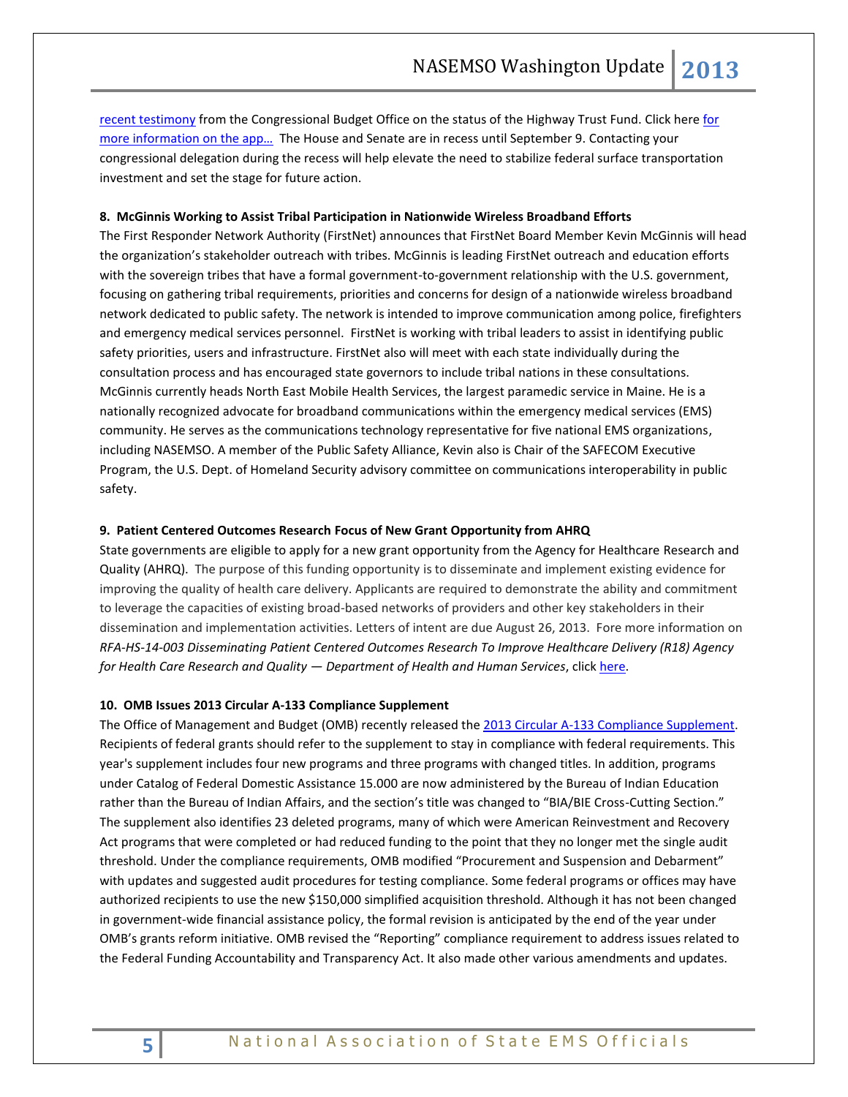[recent testimony](http://www.cbo.gov/sites/default/files/cbofiles/attachments/44434-HighwayTrustFund_Testimony.pdf) from the Congressional Budget Office on the status of the Highway Trust Fund. Click here for more information on the app... The House and Senate are in recess until September 9. Contacting your congressional delegation during the recess will help elevate the need to stabilize federal surface transportation investment and set the stage for future action.

#### **8. McGinnis Working to Assist Tribal Participation in Nationwide Wireless Broadband Efforts**

The First Responder Network Authority (FirstNet) announces that FirstNet Board Member Kevin McGinnis will head the organization's stakeholder outreach with tribes. McGinnis is leading FirstNet outreach and education efforts with the sovereign tribes that have a formal government-to-government relationship with the U.S. government, focusing on gathering tribal requirements, priorities and concerns for design of a nationwide wireless broadband network dedicated to public safety. The network is intended to improve communication among police, firefighters and emergency medical services personnel. FirstNet is working with tribal leaders to assist in identifying public safety priorities, users and infrastructure. FirstNet also will meet with each state individually during the consultation process and has encouraged state governors to include tribal nations in these consultations. McGinnis currently heads North East Mobile Health Services, the largest paramedic service in Maine. He is a nationally recognized advocate for broadband communications within the emergency medical services (EMS) community. He serves as the communications technology representative for five national EMS organizations, including NASEMSO. A member of the Public Safety Alliance, Kevin also is Chair of the SAFECOM Executive Program, the U.S. Dept. of Homeland Security advisory committee on communications interoperability in public safety.

## **9. Patient Centered Outcomes Research Focus of New Grant Opportunity from AHRQ**

State governments are eligible to apply for a new grant opportunity from the Agency for Healthcare Research and Quality (AHRQ). The purpose of this funding opportunity is to disseminate and implement existing evidence for improving the quality of health care delivery. Applicants are required to demonstrate the ability and commitment to leverage the capacities of existing broad-based networks of providers and other key stakeholders in their dissemination and implementation activities. Letters of intent are due August 26, 2013. Fore more information on *RFA-HS-14-003 Disseminating Patient Centered Outcomes Research To Improve Healthcare Delivery (R18) Agency for Health Care Research and Quality — Department of Health and Human Services*, click [here.](http://grants.nih.gov/grants/guide/rfa-files/RFA-HS-14-003.html)

#### **10. OMB Issues 2013 Circular A-133 Compliance Supplement**

The Office of Management and Budget (OMB) recently released the [2013 Circular A-133 Compliance Supplement.](http://www.whitehouse.gov/omb/circulars/a133_compliance_supplement_2013?elq=50fe79da9aa84435a5fec8a7689d4190&elqCampaignId=7472) Recipients of federal grants should refer to the supplement to stay in compliance with federal requirements. This year's supplement includes four new programs and three programs with changed titles. In addition, programs under Catalog of Federal Domestic Assistance 15.000 are now administered by the Bureau of Indian Education rather than the Bureau of Indian Affairs, and the section's title was changed to "BIA/BIE Cross-Cutting Section." The supplement also identifies 23 deleted programs, many of which were American Reinvestment and Recovery Act programs that were completed or had reduced funding to the point that they no longer met the single audit threshold. Under the compliance requirements, OMB modified "Procurement and Suspension and Debarment" with updates and suggested audit procedures for testing compliance. Some federal programs or offices may have authorized recipients to use the new \$150,000 simplified acquisition threshold. Although it has not been changed in government-wide financial assistance policy, the formal revision is anticipated by the end of the year under OMB's grants reform initiative. OMB revised the "Reporting" compliance requirement to address issues related to the Federal Funding Accountability and Transparency Act. It also made other various amendments and updates.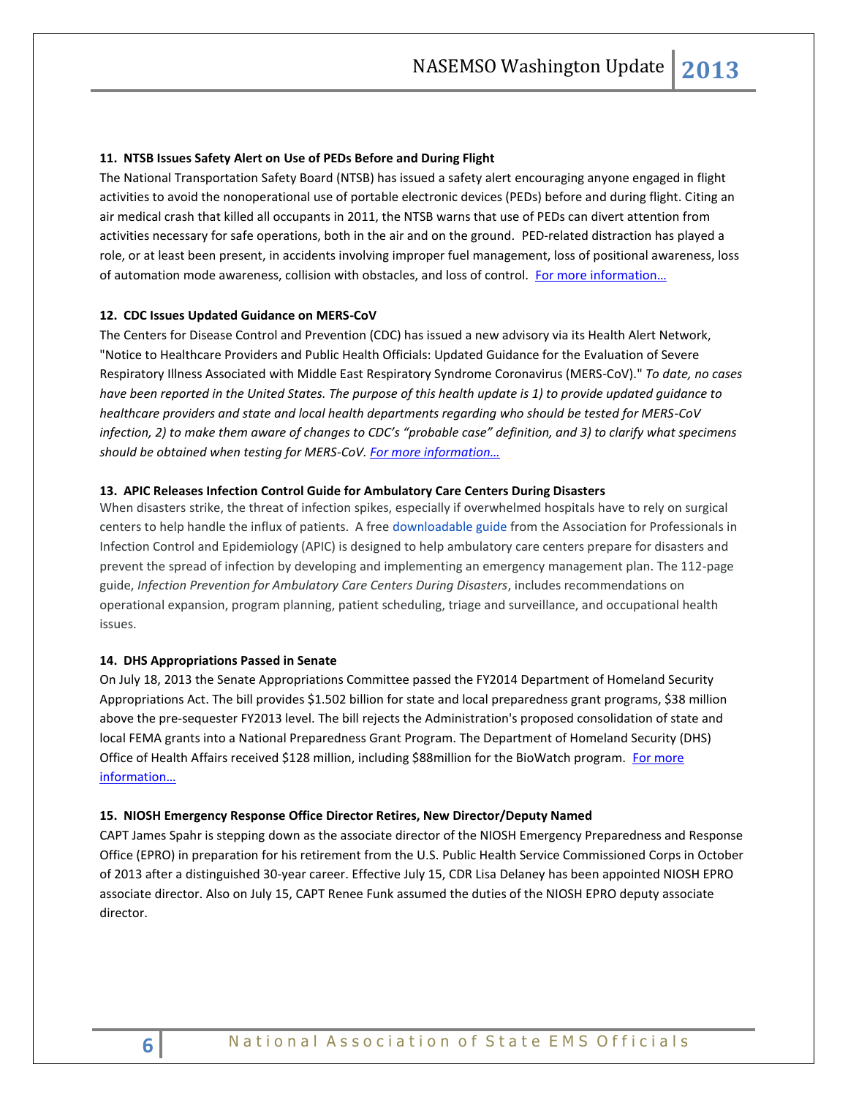#### **11. NTSB Issues Safety Alert on Use of PEDs Before and During Flight**

The National Transportation Safety Board (NTSB) has issued a safety alert encouraging anyone engaged in flight activities to avoid the nonoperational use of portable electronic devices (PEDs) before and during flight. Citing an air medical crash that killed all occupants in 2011, the NTSB warns that use of PEDs can divert attention from activities necessary for safe operations, both in the air and on the ground. PED-related distraction has played a role, or at least been present, in accidents involving improper fuel management, loss of positional awareness, loss of automation mode awareness, collision with obstacles, and loss of control. For more information...

## **12. CDC Issues Updated Guidance on MERS-CoV**

The Centers for Disease Control and Prevention (CDC) has issued a new advisory via its Health Alert Network, "Notice to Healthcare Providers and Public Health Officials: Updated Guidance for the Evaluation of Severe Respiratory Illness Associated with Middle East Respiratory Syndrome Coronavirus (MERS-CoV)." *To date, no cases have been reported in the United States. The purpose of this health update is 1) to provide updated guidance to healthcare providers and state and local health departments regarding who should be tested for MERS-CoV infection, 2) to make them aware of changes to CDC's "probable case" definition, and 3) to clarify what specimens should be obtained when testing for MERS-CoV. [For more information…](http://emergency.cdc.gov/HAN/han00352.asp)*

#### **13. APIC Releases Infection Control Guide for Ambulatory Care Centers During Disasters**

When disasters strike, the threat of infection spikes, especially if overwhelmed hospitals have to rely on surgical centers to help handle the influx of patients. A fre[e downloadable guide](http://apic.org/Resource_/TinyMceFileManager/Emergency_Prep/2013_Ambulatory_Care_during_Disasters_FINAL.pdf) from the Association for Professionals in Infection Control and Epidemiology (APIC) is designed to help ambulatory care centers prepare for disasters and prevent the spread of infection by developing and implementing an emergency management plan. The 112-page guide, *Infection Prevention for Ambulatory Care Centers During Disasters*, includes recommendations on operational expansion, program planning, patient scheduling, triage and surveillance, and occupational health issues.

## **14. DHS Appropriations Passed in Senate**

On July 18, 2013 the Senate Appropriations Committee passed the FY2014 Department of Homeland Security Appropriations Act. The bill provides \$1.502 billion for state and local preparedness grant programs, \$38 million above the pre-sequester FY2013 level. The bill rejects the Administration's proposed consolidation of state and local FEMA grants into a National Preparedness Grant Program. The Department of Homeland Security (DHS) Office of Health Affairs received \$128 million, including \$88million for the BioWatch program. For more [information…](http://www.appropriations.senate.gov/news.cfm?method=news.view&id=a6a266d5-e4c0-4125-a793-553174ce524a)

#### **15. NIOSH Emergency Response Office Director Retires, New Director/Deputy Named**

CAPT James Spahr is stepping down as the associate director of the NIOSH Emergency Preparedness and Response Office (EPRO) in preparation for his retirement from the U.S. Public Health Service Commissioned Corps in October of 2013 after a distinguished 30-year career. Effective July 15, CDR Lisa Delaney has been appointed NIOSH EPRO associate director. Also on July 15, CAPT Renee Funk assumed the duties of the NIOSH EPRO deputy associate director.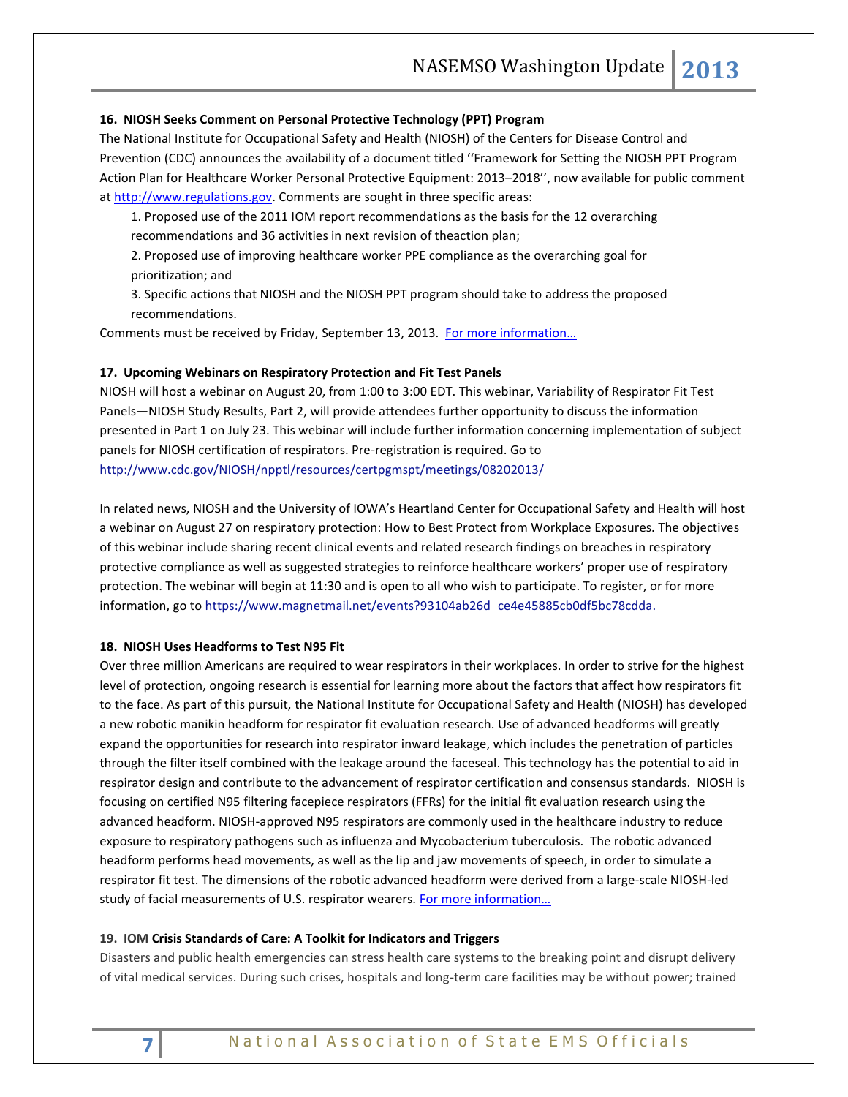#### **16. NIOSH Seeks Comment on Personal Protective Technology (PPT) Program**

The National Institute for Occupational Safety and Health (NIOSH) of the Centers for Disease Control and Prevention (CDC) announces the availability of a document titled ''Framework for Setting the NIOSH PPT Program Action Plan for Healthcare Worker Personal Protective Equipment: 2013–2018'', now available for public comment a[t http://www.regulations.gov.](http://www.regulations.gov/) Comments are sought in three specific areas:

1. Proposed use of the 2011 IOM report recommendations as the basis for the 12 overarching recommendations and 36 activities in next revision of theaction plan;

2. Proposed use of improving healthcare worker PPE compliance as the overarching goal for prioritization; and

3. Specific actions that NIOSH and the NIOSH PPT program should take to address the proposed recommendations.

Comments must be received by Friday, September 13, 2013. For more information...

#### **17. Upcoming Webinars on Respiratory Protection and Fit Test Panels**

NIOSH will host a webinar on August 20, from 1:00 to 3:00 EDT. This webinar, Variability of Respirator Fit Test Panels—NIOSH Study Results, Part 2, will provide attendees further opportunity to discuss the information presented in Part 1 on July 23. This webinar will include further information concerning implementation of subject panels for NIOSH certification of respirators. Pre-registration is required. Go to <http://www.cdc.gov/NIOSH/npptl/resources/certpgmspt/meetings/08202013/>

In related news, NIOSH and the University of IOWA's Heartland Center for Occupational Safety and Health will host a webinar on August 27 on respiratory protection: How to Best Protect from Workplace Exposures. The objectives of this webinar include sharing recent clinical events and related research findings on breaches in respiratory protective compliance as well as suggested strategies to reinforce healthcare workers' proper use of respiratory protection. The webinar will begin at 11:30 and is open to all who wish to participate. To register, or for more information, go to [https://www.magnetmail.net/events?93104ab26d](https://www.magnetmail.net/events?93104ab26dce4e45885cb0df5bc78cdda) ce4e45885cb0df5bc78cdda.

## **18. NIOSH Uses Headforms to Test N95 Fit**

Over three million Americans are required to wear respirators in their workplaces. In order to strive for the highest level of protection, ongoing research is essential for learning more about the factors that affect how respirators fit to the face. As part of this pursuit, the National Institute for Occupational Safety and Health (NIOSH) has developed a new robotic manikin headform for respirator fit evaluation research. Use of advanced headforms will greatly expand the opportunities for research into respirator inward leakage, which includes the penetration of particles through the filter itself combined with the leakage around the faceseal. This technology has the potential to aid in respirator design and contribute to the advancement of respirator certification and consensus standards. NIOSH is focusing on certified N95 filtering facepiece respirators (FFRs) for the initial fit evaluation research using the advanced headform. NIOSH-approved N95 respirators are commonly used in the healthcare industry to reduce exposure to respiratory pathogens such as influenza and Mycobacterium tuberculosis. The robotic advanced headform performs head movements, as well as the lip and jaw movements of speech, in order to simulate a respirator fit test. The dimensions of the robotic advanced headform were derived from a large-scale NIOSH-led study of facial measurements of U.S. respirator wearers. For more information...

#### **19. IOM Crisis Standards of Care: A Toolkit for Indicators and Triggers**

Disasters and public health emergencies can stress health care systems to the breaking point and disrupt delivery of vital medical services. During such crises, hospitals and long-term care facilities may be without power; trained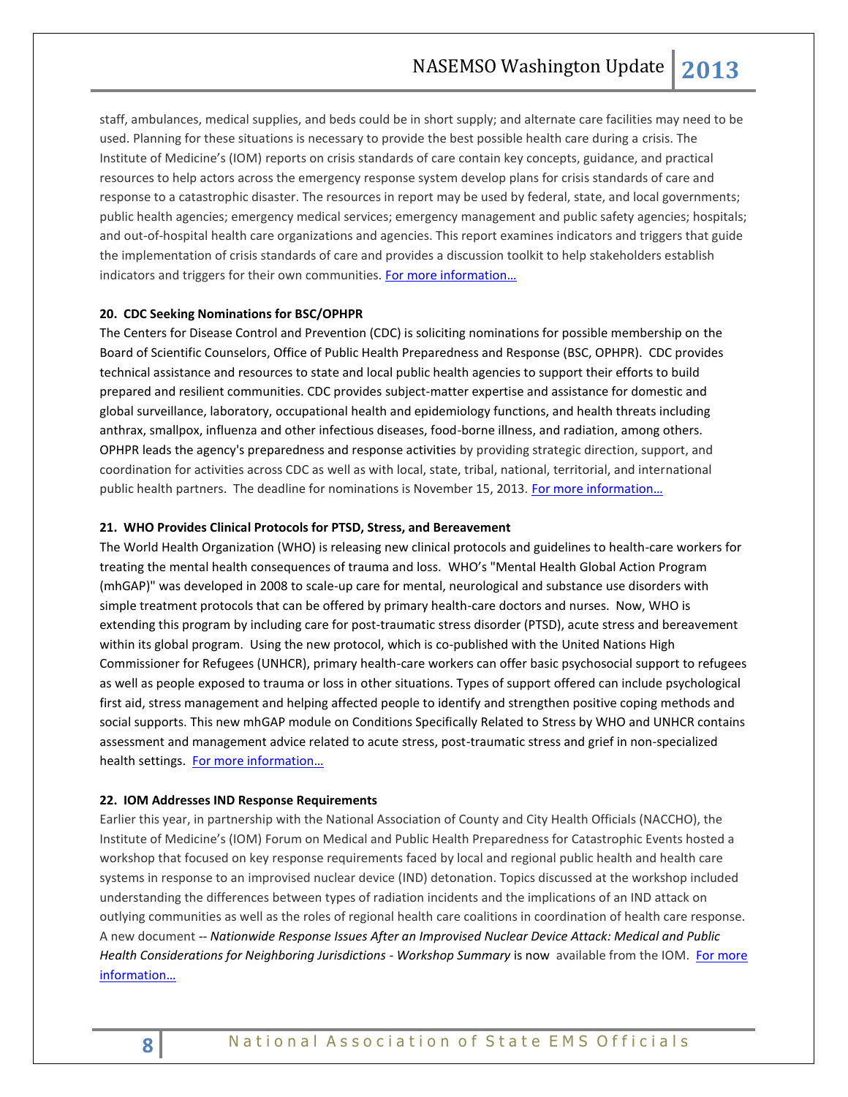staff, ambulances, medical supplies, and beds could be in short supply; and alternate care facilities may need to be used. Planning for these situations is necessary to provide the best possible health care during a crisis. The Institute of Medicine's (IOM) reports on crisis standards of care contain key concepts, guidance, and practical resources to help actors across the emergency response system develop plans for crisis standards of care and response to a catastrophic disaster. The resources in report may be used by federal, state, and local governments; public health agencies; emergency medical services; emergency management and public safety agencies; hospitals; and out-of-hospital health care organizations and agencies. This report examines indicators and triggers that guide the implementation of crisis standards of care and provides a discussion toolkit to help stakeholders establish indicators and triggers for their own communities. For more information...

#### **20. CDC Seeking Nominations for BSC/OPHPR**

The Centers for Disease Control and Prevention (CDC) is soliciting nominations for possible membership on the Board of Scientific Counselors, Office of Public Health Preparedness and Response (BSC, OPHPR). CDC provides technical assistance and resources to state and local public health agencies to support their efforts to build prepared and resilient communities. CDC provides subject-matter expertise and assistance for domestic and global surveillance, laboratory, occupational health and epidemiology functions, and health threats including anthrax, smallpox, influenza and other infectious diseases, food-borne illness, and radiation, among others. OPHPR leads the agency's preparedness and response activities by providing strategic direction, support, and coordination for activities across CDC as well as with local, state, tribal, national, territorial, and international public health partners. The deadline for nominations is November 15, 2013. [For more information…](https://www.federalregister.gov/articles/2013/06/11/2013-13737/request-for-nominations-of-candidates-to-serve-on-the-board-of-scientific-counselors-office-of-the)

#### **21. WHO Provides Clinical Protocols for PTSD, Stress, and Bereavement**

The World Health Organization (WHO) is releasing new clinical protocols and guidelines to health-care workers for treating the mental health consequences of trauma and loss. WHO's "Mental Health Global Action Program (mhGAP)" was developed in 2008 to scale-up care for mental, neurological and substance use disorders with simple treatment protocols that can be offered by primary health-care doctors and nurses. Now, WHO is extending this program by including care for post-traumatic stress disorder (PTSD), acute stress and bereavement within its global program. Using the new protocol, which is co-published with the United Nations High Commissioner for Refugees (UNHCR), primary health-care workers can offer basic psychosocial support to refugees as well as people exposed to trauma or loss in other situations. Types of support offered can include psychological first aid, stress management and helping affected people to identify and strengthen positive coping methods and social supports. This new mhGAP module on Conditions Specifically Related to Stress by WHO and UNHCR contains assessment and management advice related to acute stress, post-traumatic stress and grief in non-specialized health settings. For more information...

#### **22. IOM Addresses IND Response Requirements**

Earlier this year, in partnership with the National Association of County and City Health Officials (NACCHO), the Institute of Medicine's (IOM) Forum on Medical and Public Health Preparedness for Catastrophic Events hosted a workshop that focused on key response requirements faced by local and regional public health and health care systems in response to an improvised nuclear device (IND) detonation. Topics discussed at the workshop included understanding the differences between types of radiation incidents and the implications of an IND attack on outlying communities as well as the roles of regional health care coalitions in coordination of health care response. A new document *-- Nationwide Response Issues After an Improvised Nuclear Device Attack: Medical and Public Health Considerations for Neighboring Jurisdictions - Workshop Summary* is now available from the IOM. [For more](http://www.iom.edu/Reports/2013/Nationwide-Response-Issues-After-an-Improvised-Nuclear-Device-Attack.aspx)  [information…](http://www.iom.edu/Reports/2013/Nationwide-Response-Issues-After-an-Improvised-Nuclear-Device-Attack.aspx)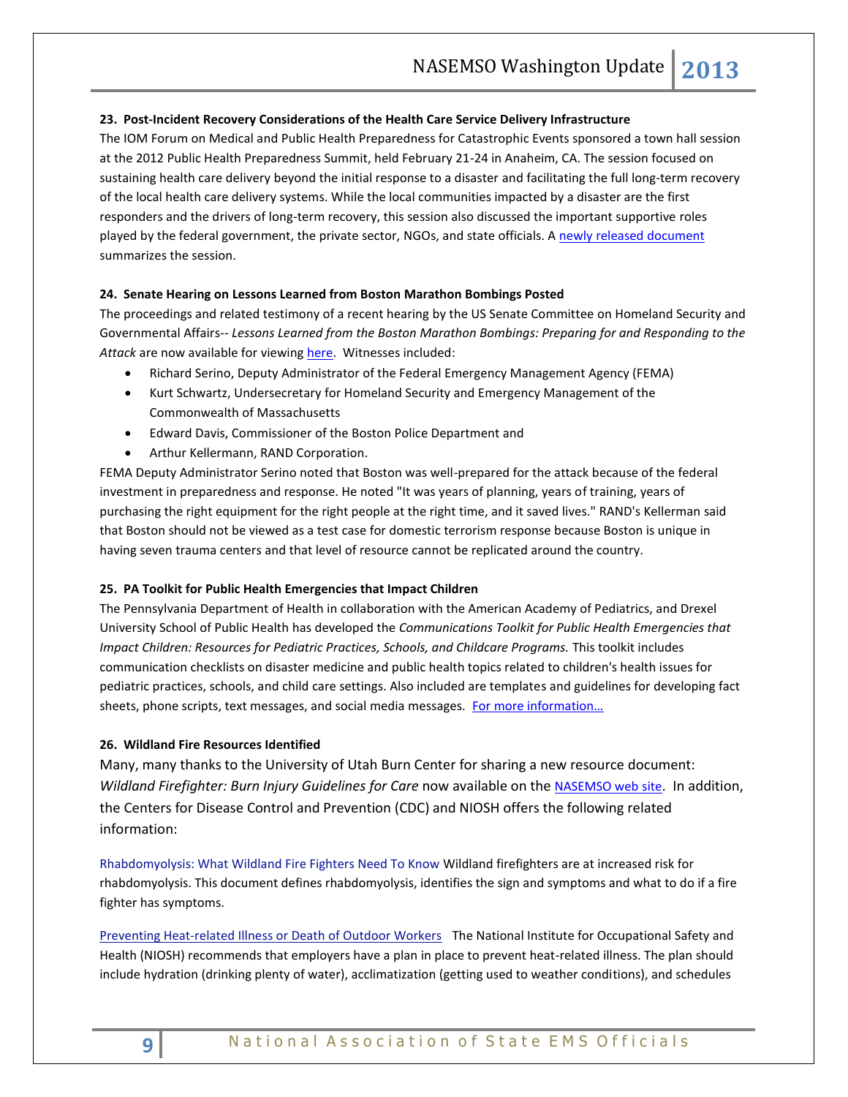## **23. Post-Incident Recovery Considerations of the Health Care Service Delivery Infrastructure**

The IOM Forum on Medical and Public Health Preparedness for Catastrophic Events sponsored a town hall session at the 2012 Public Health Preparedness Summit, held February 21-24 in Anaheim, CA. The session focused on sustaining health care delivery beyond the initial response to a disaster and facilitating the full long-term recovery of the local health care delivery systems. While the local communities impacted by a disaster are the first responders and the drivers of long-term recovery, this session also discussed the important supportive roles played by the federal government, the private sector, NGOs, and state officials. A [newly released](http://www.iom.edu/Reports/2012/Post-Incident-Recovery-Considerations-of-the-Health-Care-Service-Delivery-Infrastructure.aspx) document summarizes the session.

#### **24. Senate Hearing on Lessons Learned from Boston Marathon Bombings Posted**

The proceedings and related testimony of a recent hearing by the US Senate Committee on Homeland Security and Governmental Affairs-- *Lessons Learned from the Boston Marathon Bombings: Preparing for and Responding to the*  Attack are now available for viewing [here.](http://www.hsgac.senate.gov/hearings/lessons-learned-from-the-boston-marathon-bombings-preparing-for-and-responding-to-the-attack) Witnesses included:

- Richard Serino, Deputy Administrator of the Federal Emergency Management Agency (FEMA)
- Kurt Schwartz, Undersecretary for Homeland Security and Emergency Management of the Commonwealth of Massachusetts
- Edward Davis, Commissioner of the Boston Police Department and
- Arthur Kellermann, RAND Corporation.

FEMA Deputy Administrator Serino noted that Boston was well-prepared for the attack because of the federal investment in preparedness and response. He noted "It was years of planning, years of training, years of purchasing the right equipment for the right people at the right time, and it saved lives." RAND's Kellerman said that Boston should not be viewed as a test case for domestic terrorism response because Boston is unique in having seven trauma centers and that level of resource cannot be replicated around the country.

#### **25. PA Toolkit for Public Health Emergencies that Impact Children**

The Pennsylvania Department of Health in collaboration with the American Academy of Pediatrics, and Drexel University School of Public Health has developed the *Communications Toolkit for Public Health Emergencies that Impact Children: Resources for Pediatric Practices, Schools, and Childcare Programs. This toolkit includes* communication checklists on disaster medicine and public health topics related to children's health issues for pediatric practices, schools, and child care settings. Also included are templates and guidelines for developing fact sheets, phone scripts, text messages, and social media messages. For more information...

#### **26. Wildland Fire Resources Identified**

Many, many thanks to the University of Utah Burn Center for sharing a new resource document: *Wildland Firefighter: Burn Injury Guidelines for Care* now available on the [NASEMSO web site](https://www.nasemso.org/Projects/DomesticPreparedness/National-InternationalResources.asp). In addition, the Centers for Disease Control and Prevention (CDC) and NIOSH offers the following related information:

[Rhabdomyolysis: What Wildland Fire Fighters Need To Know](http://www.nwcg.gov/branches/pre/rmc/rhabdo2_3-25-11v2_nwcg.pdf) Wildland firefighters are at increased risk for rhabdomyolysis. This document defines rhabdomyolysis, identifies the sign and symptoms and what to do if a fire fighter has symptoms.

[Preventing Heat-related Illness or Death of Outdoor Workers](http://www.cdc.gov/niosh/docs/wp-solutions/2013-143/) The National Institute for Occupational Safety and Health (NIOSH) recommends that employers have a plan in place to prevent heat-related illness. The plan should include hydration (drinking plenty of water), acclimatization (getting used to weather conditions), and schedules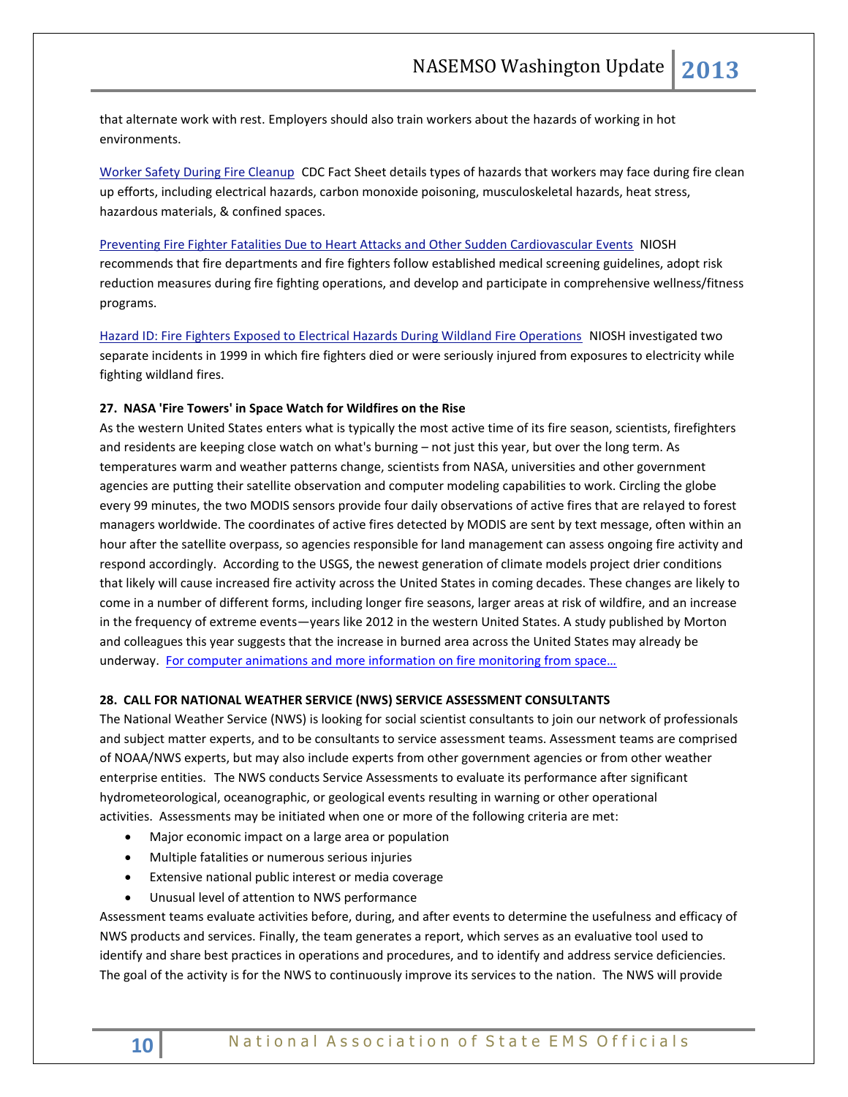that alternate work with rest. Employers should also train workers about the hazards of working in hot environments.

[Worker Safety During Fire Cleanup](http://emergency.cdc.gov/disasters/wildfires/cleanupworkers.asp) CDC Fact Sheet details types of hazards that workers may face during fire clean up efforts, including electrical hazards, carbon monoxide poisoning, musculoskeletal hazards, heat stress, hazardous materials, & confined spaces.

#### [Preventing Fire Fighter Fatalities Due to Heart Attacks and Other Sudden Cardiovascular Events](http://www.cdc.gov/niosh/docs/2007-133/) NIOSH

recommends that fire departments and fire fighters follow established medical screening guidelines, adopt risk reduction measures during fire fighting operations, and develop and participate in comprehensive wellness/fitness programs.

[Hazard ID: Fire Fighters Exposed to Electrical Hazards During Wildland Fire Operations](http://www.cdc.gov/niosh/docs/2002-112/) NIOSH investigated two separate incidents in 1999 in which fire fighters died or were seriously injured from exposures to electricity while fighting wildland fires.

#### **27. NASA 'Fire Towers' in Space Watch for Wildfires on the Rise**

As the western United States enters what is typically the most active time of its fire season, scientists, firefighters and residents are keeping close watch on what's burning – not just this year, but over the long term. As temperatures warm and weather patterns change, scientists from NASA, universities and other government agencies are putting their satellite observation and computer modeling capabilities to work. Circling the globe every 99 minutes, the two MODIS sensors provide four daily observations of active fires that are relayed to forest managers worldwide. The coordinates of active fires detected by MODIS are sent by text message, often within an hour after the satellite overpass, so agencies responsible for land management can assess ongoing fire activity and respond accordingly. According to the USGS, the newest generation of climate models project drier conditions that likely will cause increased fire activity across the United States in coming decades. These changes are likely to come in a number of different forms, including longer fire seasons, larger areas at risk of wildfire, and an increase in the frequency of extreme events—years like 2012 in the western United States. A study published by Morton and colleagues this year suggests that the increase in burned area across the United States may already be underway. [For computer animations and more information on fire monitoring from space…](http://www.nasa.gov/content/goddard/nasa-fire-towers-in-space-watch-for-wildfires-on-the-rise/#.UglhuhbJDzJ)

## **28. CALL FOR NATIONAL WEATHER SERVICE (NWS) SERVICE ASSESSMENT CONSULTANTS**

The National Weather Service (NWS) is looking for social scientist consultants to join our network of professionals and subject matter experts, and to be consultants to service assessment teams. Assessment teams are comprised of NOAA/NWS experts, but may also include experts from other government agencies or from other weather enterprise entities. The NWS conducts Service Assessments to evaluate its performance after significant hydrometeorological, oceanographic, or geological events resulting in warning or other operational activities. Assessments may be initiated when one or more of the following criteria are met:

- Major economic impact on a large area or population
- Multiple fatalities or numerous serious injuries
- Extensive national public interest or media coverage
- Unusual level of attention to NWS performance

Assessment teams evaluate activities before, during, and after events to determine the usefulness and efficacy of NWS products and services. Finally, the team generates a report, which serves as an evaluative tool used to identify and share best practices in operations and procedures, and to identify and address service deficiencies. The goal of the activity is for the NWS to continuously improve its services to the nation. The NWS will provide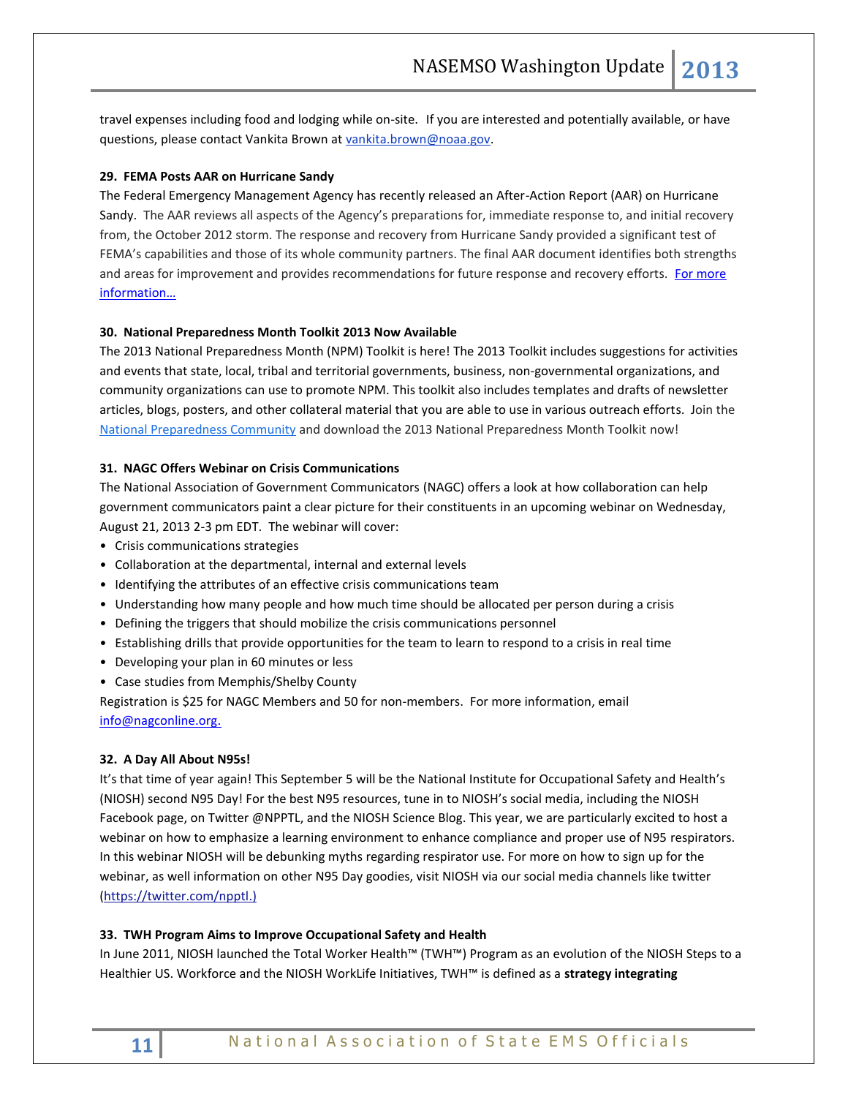travel expenses including food and lodging while on-site. If you are interested and potentially available, or have questions, please contact Vankita Brown at [vankita.brown@noaa.gov.](mailto:vankita.brown@noaa.gov)

## **29. FEMA Posts AAR on Hurricane Sandy**

The Federal Emergency Management Agency has recently released an After-Action Report (AAR) on Hurricane Sandy. The AAR reviews all aspects of the Agency's preparations for, immediate response to, and initial recovery from, the October 2012 storm. The response and recovery from Hurricane Sandy provided a significant test of FEMA's capabilities and those of its whole community partners. The final AAR document identifies both strengths and areas for improvement and provides recommendations for future response and recovery efforts. For more infor[mation…](http://www.fema.gov/media-library/assets/documents/33772?id=7906)

#### **30. National Preparedness Month Toolkit 2013 Now Available**

The 2013 National Preparedness Month (NPM) Toolkit is here! The 2013 Toolkit includes suggestions for activities and events that state, local, tribal and territorial governments, business, non-governmental organizations, and community organizations can use to promote NPM. This toolkit also includes templates and drafts of newsletter articles, blogs, posters, and other collateral material that you are able to use in various outreach efforts. Join the [National Preparedness Community](http://community.fema.gov/) and download the 2013 National Preparedness Month Toolkit now!

## **31. NAGC Offers Webinar on Crisis Communications**

The National Association of Government Communicators (NAGC) offers a look at how collaboration can help government communicators paint a clear picture for their constituents in an upcoming webinar on Wednesday, August 21, 2013 2-3 pm EDT. The webinar will cover:

- Crisis communications strategies
- Collaboration at the departmental, internal and external levels
- Identifying the attributes of an effective crisis communications team
- Understanding how many people and how much time should be allocated per person during a crisis
- Defining the triggers that should mobilize the crisis communications personnel
- Establishing drills that provide opportunities for the team to learn to respond to a crisis in real time
- Developing your plan in 60 minutes or less
- Case studies from Memphis/Shelby County

Registration is \$25 for NAGC Members and 50 for non-members. For more information, email

[info@nagconline.org.](mailto:info@nagconline.org)

#### **32. A Day All About N95s!**

It's that time of year again! This September 5 will be the National Institute for Occupational Safety and Health's (NIOSH) second N95 Day! For the best N95 resources, tune in to NIOSH's social media, including the NIOSH Facebook page, on Twitter @NPPTL, and the NIOSH Science Blog. This year, we are particularly excited to host a webinar on how to emphasize a learning environment to enhance compliance and proper use of N95 respirators. In this webinar NIOSH will be debunking myths regarding respirator use. For more on how to sign up for the webinar, as well information on other N95 Day goodies, visit NIOSH via our social media channels like twitter (https://twitter.com/npptl.)

#### **33. TWH Program Aims to Improve Occupational Safety and Health**

In June 2011, NIOSH launched the Total Worker Health™ (TWH™) Program as an evolution of the NIOSH Steps to a Healthier US. Workforce and the NIOSH WorkLife Initiatives, TWH™ is defined as a **strategy integrating**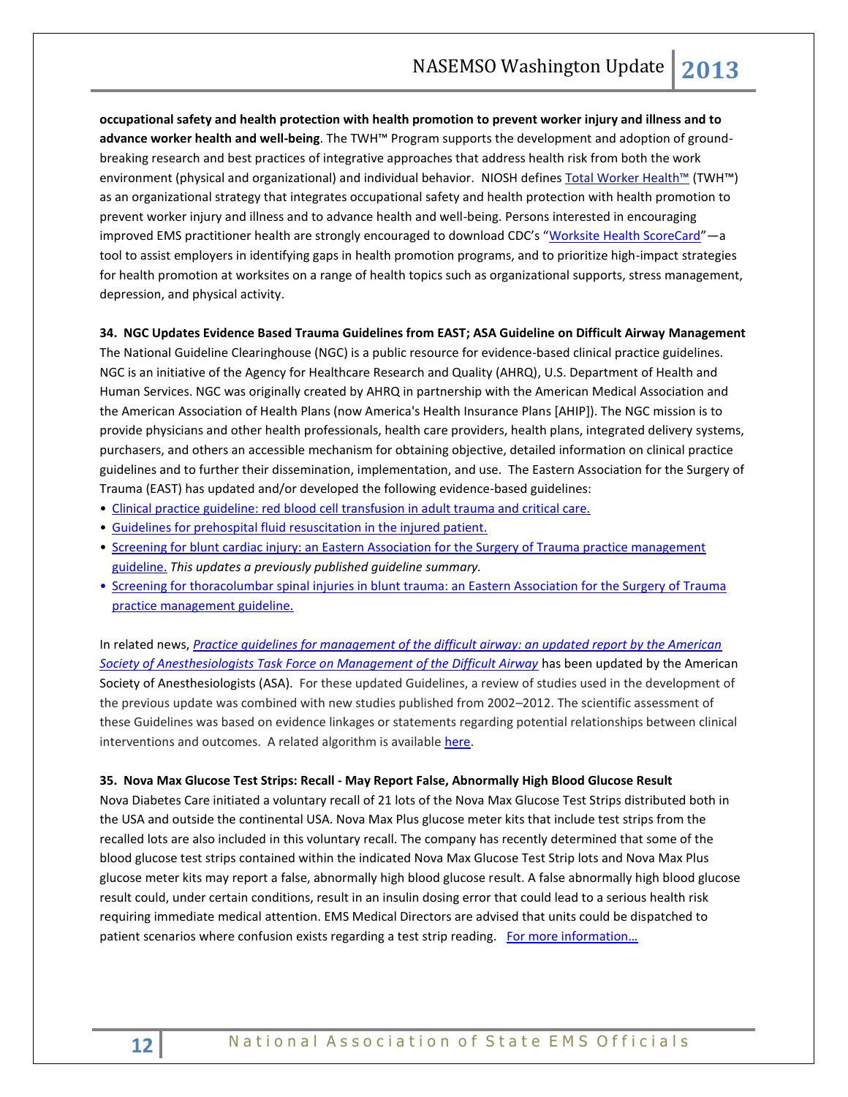**occupational safety and health protection with health promotion to prevent worker injury and illness and to advance worker health and well-being**. The TWH™ Program supports the development and adoption of groundbreaking research and best practices of integrative approaches that address health risk from both the work environment (physical and organizational) and individual behavior. NIOSH defines [Total Worker Health™](http://www.cdc.gov/niosh/twh/) (TWH™) as an organizational strategy that integrates occupational safety and health protection with health promotion to prevent worker injury and illness and to advance health and well-being. Persons interested in encouraging improved EMS practitioner health are strongly encouraged to download CDC's "[Worksite Health ScoreCard](http://www.cdc.gov/dhdsp/pubs/docs/HSC_Manual.pdf)" - a tool to assist employers in identifying gaps in health promotion programs, and to prioritize high-impact strategies for health promotion at worksites on a range of health topics such as organizational supports, stress management, depression, and physical activity.

#### **34. NGC Updates Evidence Based Trauma Guidelines from EAST; ASA Guideline on Difficult Airway Management**

The National Guideline Clearinghouse (NGC) is a public resource for evidence-based clinical practice guidelines. NGC is an initiative of the [Agency for Healthcare Research and Quality \(AHRQ\),](http://www.ahrq.gov/) U.S. Department of Health and Human Services. NGC was originally created by AHRQ in partnership with the American Medical Association and the American Association of Health Plans (now America's Health Insurance Plans [AHIP]). The NGC mission is to provide physicians and other health professionals, health care providers, health plans, integrated delivery systems, purchasers, and others an accessible mechanism for obtaining objective, detailed information on clinical practice guidelines and to further their dissemination, implementation, and use. The Eastern Association for the Surgery of Trauma (EAST) has updated and/or developed the following evidence-based guidelines:

- [Clinical practice guideline: red blood cell transfusion in adult trauma and critical care.](http://links.govdelivery.com/track?type=click&enid=ZWFzPTEmbWFpbGluZ2lkPTIwMTMwNzI5LjIxNTY1ODIxJm1lc3NhZ2VpZD1NREItUFJELUJVTC0yMDEzMDcyOS4yMTU2NTgyMSZkYXRhYmFzZWlkPTEwMDEmc2VyaWFsPTE3NzAyOTkwJmVtYWlsaWQ9a3JvYmluc29uQGFzbWlpLm5ldCZ1c2VyaWQ9a3JvYmluc29uQGFzbWlpLm5ldCZmbD0mZXh0cmE9TXVsdGl2YXJpYXRlSWQ9JiYm&&&107&&&http://guideline.gov/content.aspx?f=rss&id=43779&osrc=12)
- [Guidelines for prehospital fluid resuscitation in the injured patient.](http://links.govdelivery.com/track?type=click&enid=ZWFzPTEmbWFpbGluZ2lkPTIwMTMwNzI5LjIxNTY1ODIxJm1lc3NhZ2VpZD1NREItUFJELUJVTC0yMDEzMDcyOS4yMTU2NTgyMSZkYXRhYmFzZWlkPTEwMDEmc2VyaWFsPTE3NzAyOTkwJmVtYWlsaWQ9a3JvYmluc29uQGFzbWlpLm5ldCZ1c2VyaWQ9a3JvYmluc29uQGFzbWlpLm5ldCZmbD0mZXh0cmE9TXVsdGl2YXJpYXRlSWQ9JiYm&&&108&&&http://guideline.gov/content.aspx?f=rss&id=43782&osrc=12)
- [Screening for blunt cardiac injury: an Eastern Association for the Surgery of Trauma practice management](http://links.govdelivery.com/track?type=click&enid=ZWFzPTEmbWFpbGluZ2lkPTIwMTMwNzI5LjIxNTY1ODIxJm1lc3NhZ2VpZD1NREItUFJELUJVTC0yMDEzMDcyOS4yMTU2NTgyMSZkYXRhYmFzZWlkPTEwMDEmc2VyaWFsPTE3NzAyOTkwJmVtYWlsaWQ9a3JvYmluc29uQGFzbWlpLm5ldCZ1c2VyaWQ9a3JvYmluc29uQGFzbWlpLm5ldCZmbD0mZXh0cmE9TXVsdGl2YXJpYXRlSWQ9JiYm&&&109&&&http://guideline.gov/content.aspx?f=rss&id=43780&osrc=12)  [guideline.](http://links.govdelivery.com/track?type=click&enid=ZWFzPTEmbWFpbGluZ2lkPTIwMTMwNzI5LjIxNTY1ODIxJm1lc3NhZ2VpZD1NREItUFJELUJVTC0yMDEzMDcyOS4yMTU2NTgyMSZkYXRhYmFzZWlkPTEwMDEmc2VyaWFsPTE3NzAyOTkwJmVtYWlsaWQ9a3JvYmluc29uQGFzbWlpLm5ldCZ1c2VyaWQ9a3JvYmluc29uQGFzbWlpLm5ldCZmbD0mZXh0cmE9TXVsdGl2YXJpYXRlSWQ9JiYm&&&109&&&http://guideline.gov/content.aspx?f=rss&id=43780&osrc=12) *This updates a previously published guideline summary.*
- [Screening for thoracolumbar spinal injuries in blunt trauma: an Eastern Association for the Surgery of Trauma](http://links.govdelivery.com/track?type=click&enid=ZWFzPTEmbWFpbGluZ2lkPTIwMTMwNzI5LjIxNTY1ODIxJm1lc3NhZ2VpZD1NREItUFJELUJVTC0yMDEzMDcyOS4yMTU2NTgyMSZkYXRhYmFzZWlkPTEwMDEmc2VyaWFsPTE3NzAyOTkwJmVtYWlsaWQ9a3JvYmluc29uQGFzbWlpLm5ldCZ1c2VyaWQ9a3JvYmluc29uQGFzbWlpLm5ldCZmbD0mZXh0cmE9TXVsdGl2YXJpYXRlSWQ9JiYm&&&110&&&http://guideline.gov/content.aspx?f=rss&id=43781&osrc=12)  [practice management guideline.](http://links.govdelivery.com/track?type=click&enid=ZWFzPTEmbWFpbGluZ2lkPTIwMTMwNzI5LjIxNTY1ODIxJm1lc3NhZ2VpZD1NREItUFJELUJVTC0yMDEzMDcyOS4yMTU2NTgyMSZkYXRhYmFzZWlkPTEwMDEmc2VyaWFsPTE3NzAyOTkwJmVtYWlsaWQ9a3JvYmluc29uQGFzbWlpLm5ldCZ1c2VyaWQ9a3JvYmluc29uQGFzbWlpLm5ldCZmbD0mZXh0cmE9TXVsdGl2YXJpYXRlSWQ9JiYm&&&110&&&http://guideline.gov/content.aspx?f=rss&id=43781&osrc=12)

In related news, *[Practice guidelines for management of the difficult airway: an updated report by the American](http://www.guideline.gov/content.aspx?f=rss&id=43897&osrc=12)  [Society of Anesthesiologists Task Force on Management of the Difficult Airway](http://www.guideline.gov/content.aspx?f=rss&id=43897&osrc=12)* has been updated by the American Society of Anesthesiologists (ASA). For these updated Guidelines, a review of studies used in the development of the previous update was combined with new studies published from 2002–2012. The scientific assessment of these Guidelines was based on evidence linkages or statements regarding potential relationships between clinical interventions and outcomes. A related algorithm is available [here.](http://airwayeducation.homestead.com/ASA.html)

## **35. Nova Max Glucose Test Strips: Recall - May Report False, Abnormally High Blood Glucose Result**

Nova Diabetes Care initiated a voluntary recall of 21 lots of the Nova Max Glucose Test Strips distributed both in the USA and outside the continental USA. Nova Max Plus glucose meter kits that include test strips from the recalled lots are also included in this voluntary recall. The company has recently determined that some of the blood glucose test strips contained within the indicated Nova Max Glucose Test Strip lots and Nova Max Plus glucose meter kits may report a false, abnormally high blood glucose result. A false abnormally high blood glucose result could, under certain conditions, result in an insulin dosing error that could lead to a serious health risk requiring immediate medical attention. EMS Medical Directors are advised that units could be dispatched to patient scenarios where confusion exists regarding a test strip reading. For more information...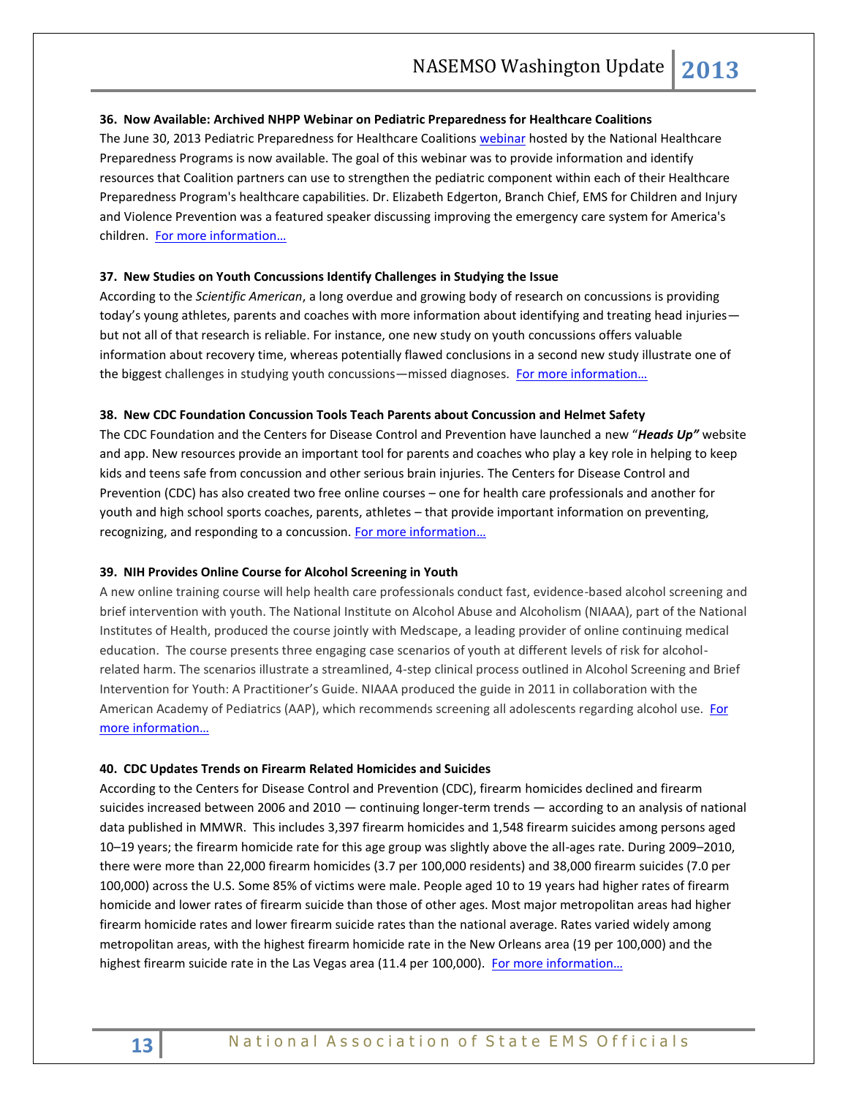#### **36. Now Available: Archived NHPP Webinar on Pediatric Preparedness for Healthcare Coalitions**

The June 30, 2013 Pediatric Preparedness for Healthcare Coalitions webinar hosted by the National Healthcare Preparedness Programs is now available. The goal of this webinar was to provide information and identify resources that Coalition partners can use to strengthen the pediatric component within each of their Healthcare Preparedness Program's healthcare capabilities. Dr. Elizabeth Edgerton, Branch Chief, EMS for Children and Injury and Violence Prevention was a featured speaker discussing improving the emergency care system for America's children. For more information...

#### **37. New Studies on Youth Concussions Identify Challenges in Studying the Issue**

According to the *Scientific American*, a long overdue and growing body of research on concussions is providing today's young athletes, parents and coaches with more information about identifying and treating head injuries but not all of that research is reliable. For instance, one new study on youth concussions offers valuable information about recovery time, whereas potentially flawed conclusions in a second new study illustrate one of the biggest challenges in studying youth concussions—missed diagnoses. [For more information…](http://www.scientificamerican.com/article.cfm?id=concussions-studies-butt-heads)

#### **38. New CDC Foundation Concussion Tools Teach Parents about Concussion and Helmet Safety**

The CDC Foundation and the Centers for Disease Control and Prevention have launched a new "*Heads Up"* website and app. New resources provide an important tool for parents and coaches who play a key role in helping to keep kids and teens safe from concussion and other serious brain injuries. The Centers for Disease Control and Prevention (CDC) has also created two free online courses – one for health care professionals and another for youth and high school sports coaches, parents, athletes – that provide important information on preventing, recognizing, and responding to a concussion. For more information...

#### **39. NIH Provides Online Course for Alcohol Screening in Youth**

A new online training course will help health care professionals conduct fast, evidence-based alcohol screening and brief intervention with youth. The National Institute on Alcohol Abuse and Alcoholism (NIAAA), part of the National Institutes of Health, produced the course jointly with Medscape, a leading provider of online continuing medical education. The course presents three engaging case scenarios of youth at different levels of risk for alcoholrelated harm. The scenarios illustrate a streamlined, 4-step clinical process outlined in Alcohol Screening and Brief Intervention for Youth: A Practitioner's Guide. NIAAA produced the guide in 2011 in collaboration with the American Academy of Pediatrics (AAP), which recommends screening all adolescents regarding alcohol use. [For](http://www.nih.gov/news/health/aug2013/niaaa-12.htm)  [more information…](http://www.nih.gov/news/health/aug2013/niaaa-12.htm)

#### **40. CDC Updates Trends on Firearm Related Homicides and Suicides**

According to the Centers for Disease Control and Prevention (CDC), firearm homicides declined and firearm suicides increased between 2006 and 2010 — continuing longer-term trends — according to an analysis of national data published in MMWR. This includes 3,397 firearm homicides and 1,548 firearm suicides among persons aged 10–19 years; the firearm homicide rate for this age group was slightly above the all-ages rate. During 2009–2010, there were more than 22,000 firearm homicides (3.7 per 100,000 residents) and 38,000 firearm suicides (7.0 per 100,000) across the U.S. Some 85% of victims were male. People aged 10 to 19 years had higher rates of firearm homicide and lower rates of firearm suicide than those of other ages. Most major metropolitan areas had higher firearm homicide rates and lower firearm suicide rates than the national average. Rates varied widely among metropolitan areas, with the highest firearm homicide rate in the New Orleans area (19 per 100,000) and the highest firearm suicide rate in the Las Vegas area (11.4 per 100,000). For more information...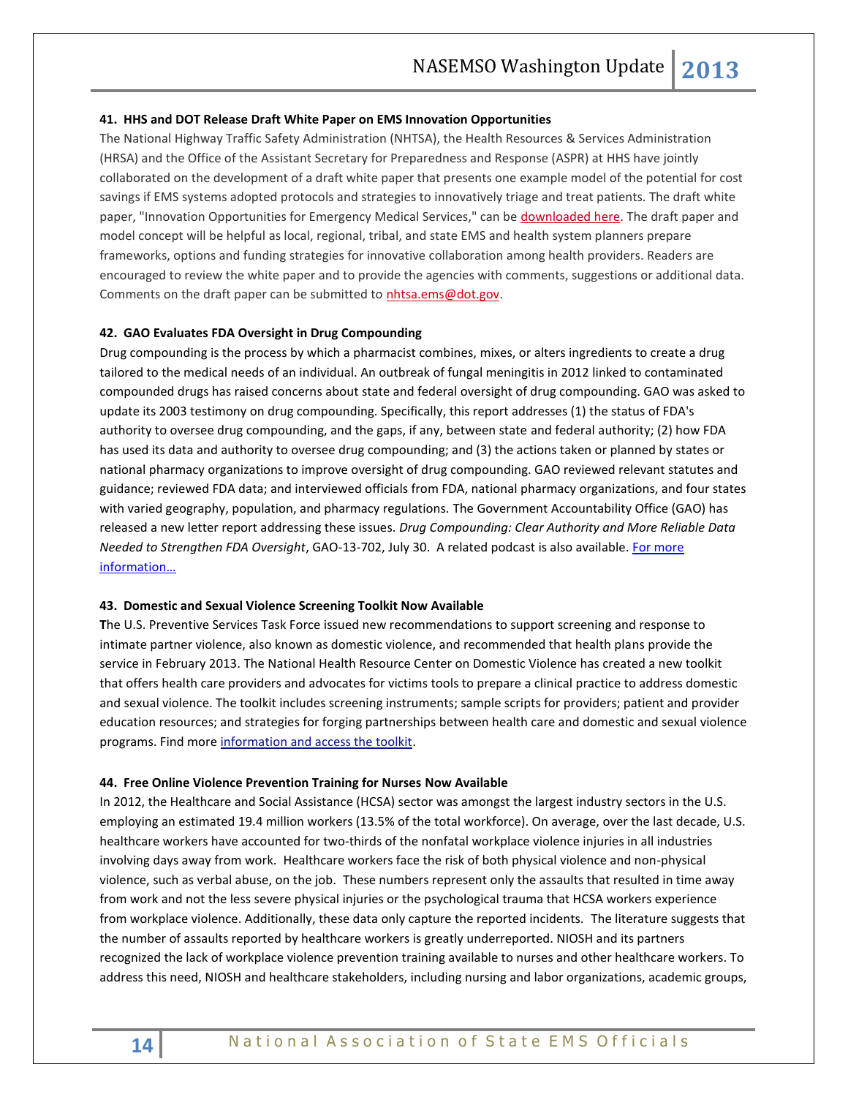#### **41. HHS and DOT Release Draft White Paper on EMS Innovation Opportunities**

The National Highway Traffic Safety Administration (NHTSA), the Health Resources & Services Administration (HRSA) and the Office of the Assistant Secretary for Preparedness and Response (ASPR) at HHS have jointly collaborated on the development of a draft white paper that presents one example model of the potential for cost savings if EMS systems adopted protocols and strategies to innovatively triage and treat patients. The draft white paper, "Innovation Opportunities for Emergency Medical Services," can be [downloaded here.](https://www.nasemso.org/documents/EMS-Innovation-White-Paper-Draft.pdf) The draft paper and model concept will be helpful as local, regional, tribal, and state EMS and health system planners prepare frameworks, options and funding strategies for innovative collaboration among health providers. Readers are encouraged to review the white paper and to provide the agencies with comments, suggestions or additional data. Comments on the draft paper can be submitted to [nhtsa.ems@dot.gov.](mailto:nhtsa.ems@dot.gov)

## **42. GAO Evaluates FDA Oversight in Drug Compounding**

Drug compounding is the process by which a pharmacist combines, mixes, or alters ingredients to create a drug tailored to the medical needs of an individual. An outbreak of fungal meningitis in 2012 linked to contaminated compounded drugs has raised concerns about state and federal oversight of drug compounding. GAO was asked to update its 2003 testimony on drug compounding. Specifically, this report addresses (1) the status of FDA's authority to oversee drug compounding, and the gaps, if any, between state and federal authority; (2) how FDA has used its data and authority to oversee drug compounding; and (3) the actions taken or planned by states or national pharmacy organizations to improve oversight of drug compounding. GAO reviewed relevant statutes and guidance; reviewed FDA data; and interviewed officials from FDA, national pharmacy organizations, and four states with varied geography, population, and pharmacy regulations. The Government Accountability Office (GAO) has released a new letter report addressing these issues. *Drug Compounding: Clear Authority and More Reliable Data Needed to Strengthen FDA Oversight*, GAO-13-702, July 30. A related podcast is also available. [For more](http://www.gao.gov/products/GAO-13-702)  [information…](http://www.gao.gov/products/GAO-13-702)

#### **43. Domestic and Sexual Violence Screening Toolkit Now Available**

**T**he U.S. Preventive Services Task Force issued new recommendations to support screening and response to intimate partner violence, also known as domestic violence, and recommended that health plans provide the service in February 2013. The National Health Resource Center on Domestic Violence has created a new toolkit that offers health care providers and advocates for victims tools to prepare a clinical practice to address domestic and sexual violence. The toolkit includes screening instruments; sample scripts for providers; patient and provider education resources; and strategies for forging partnerships between health care and domestic and sexual violence programs. Find more [information and access the toolkit.](http://www.healthcaresaboutipv.org/)

#### **44. Free Online Violence Prevention Training for Nurses Now Available**

In 2012, the Healthcare and Social Assistance (HCSA) sector was amongst the largest industry sectors in the U.S. employing an estimated 19.4 million workers (13.5% of the total workforce). On average, over the last decade, U.S. healthcare workers have accounted for two-thirds of the nonfatal workplace violence injuries in all industries involving days away from work. Healthcare workers face the risk of both physical violence and non-physical violence, such as verbal abuse, on the job. These numbers represent only the assaults that resulted in time away from work and not the less severe physical injuries or the psychological trauma that HCSA workers experience from workplace violence. Additionally, these data only capture the reported incidents. The literature suggests that the number of assaults reported by healthcare workers is greatly underreported. NIOSH and its partners recognized the lack of workplace violence prevention training available to nurses and other healthcare workers. To address this need, NIOSH and healthcare stakeholders, including nursing and labor organizations, academic groups,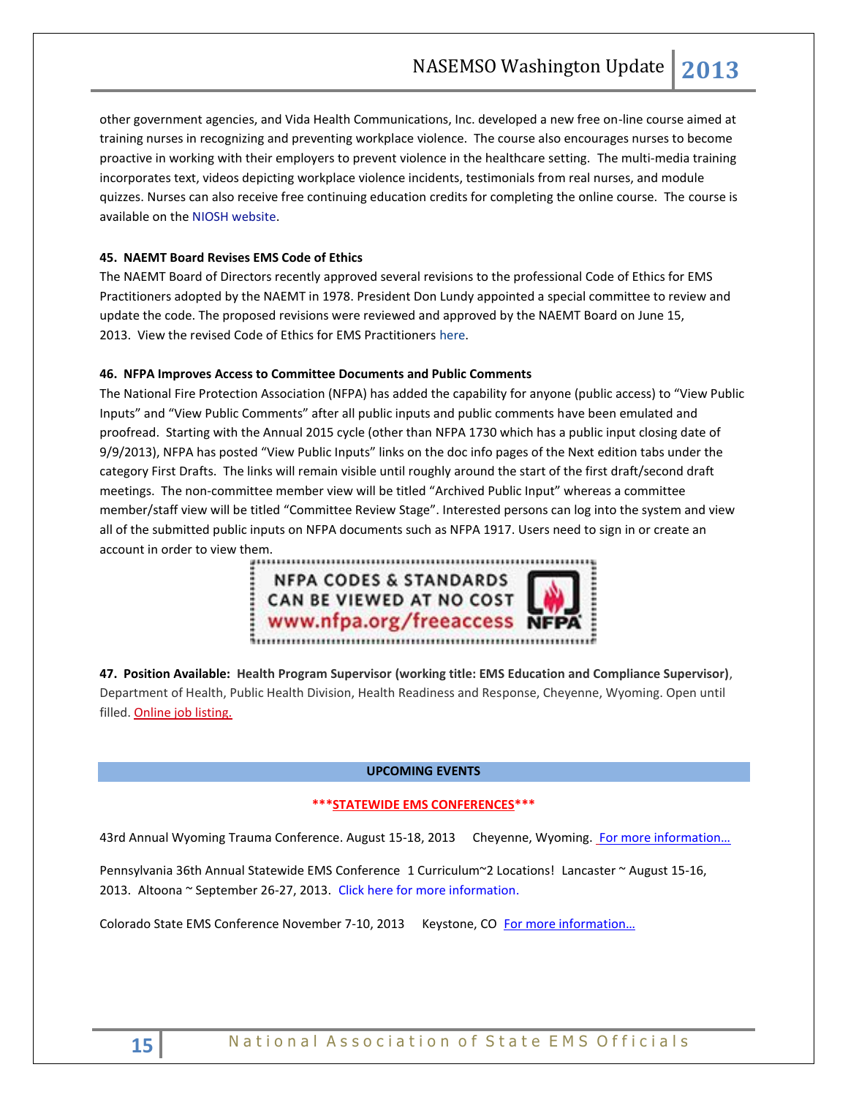other government agencies, and Vida Health Communications, Inc. developed a new free on-line course aimed at training nurses in recognizing and preventing workplace violence. The course also encourages nurses to become proactive in working with their employers to prevent violence in the healthcare setting. The multi-media training incorporates text, videos depicting workplace violence incidents, testimonials from real nurses, and module quizzes. Nurses can also receive free continuing education credits for completing the online course. The course is available on the [NIOSH website.](http://www.cdc.gov/niosh/topics/violence/training_nurses.html)

## **45. NAEMT Board Revises EMS Code of Ethics**

The NAEMT Board of Directors recently approved several revisions to the professional Code of Ethics for EMS Practitioners adopted by the NAEMT in 1978. President Don Lundy appointed a special committee to review and update the code. The proposed revisions were reviewed and approved by the NAEMT Board on June 15, 2013. View the revised Code of Ethics for EMS Practitioners [here.](http://www.naemt.org/about_us/emtoath.aspx)

## **46. NFPA Improves Access to Committee Documents and Public Comments**

The National Fire Protection Association (NFPA) has added the capability for anyone (public access) to "View Public Inputs" and "View Public Comments" after all public inputs and public comments have been emulated and proofread. Starting with the Annual 2015 cycle (other than NFPA 1730 which has a public input closing date of 9/9/2013), NFPA has posted "View Public Inputs" links on the doc info pages of the Next edition tabs under the category First Drafts. The links will remain visible until roughly around the start of the first draft/second draft meetings. The non-committee member view will be titled "Archived Public Input" whereas a committee member/staff view will be titled "Committee Review Stage". Interested persons can log into the system and view all of the submitted public inputs on NFPA documents such as NFPA 1917. Users need to sign in or create an account in order to view them.

**NFPA CODES & STANDARDS** CAN BE VIEWED AT NO COST www.nfpa.org/freeaccess NFI 

**47. Position Available: Health Program Supervisor (working title: EMS Education and Compliance Supervisor)**, Department of Health, Public Health Division, Health Readiness and Response, Cheyenne, Wyoming. Open until filled. [Online job listing.](https://statejobs.state.wy.us/JobSearchDetail.aspx?ID=21982)

#### **UPCOMING EVENTS**

#### **\*\*\*STATEWIDE EMS CONFERENCES\*\*\***

43rd Annual Wyoming Trauma Conference. August 15-18, 2013 Cheyenne, Wyoming. For more information...

Pennsylvania 36th Annual Statewide EMS Conference 1 Curriculum~2 Locations! Lancaster ~ August 15-16, 2013. Altoona ~ September 26-27, 2013. [Click here for more information.](http://www.cvent.com/d/2cqcf0/1Q)

Colorado State EMS Conference November 7-10, 2013 Keystone, CO [For more information…](http://www.emsac.org/)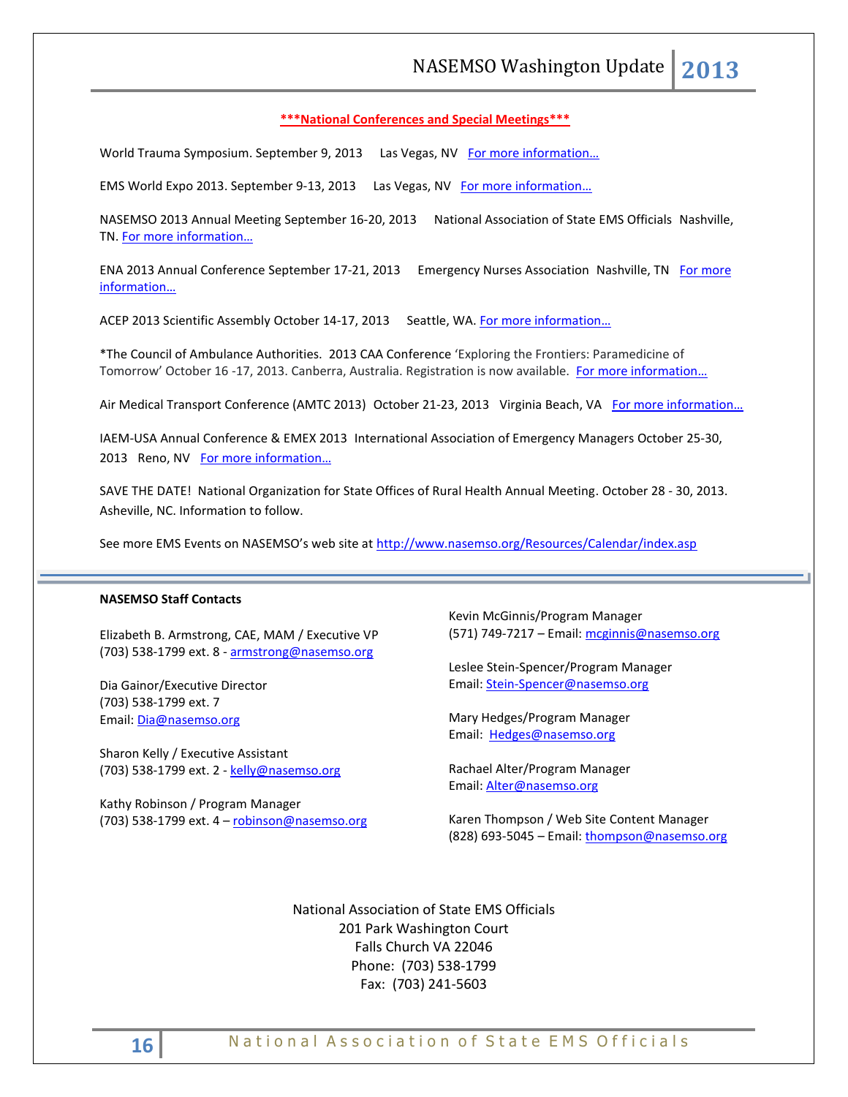#### **\*\*\*National Conferences and Special Meetings\*\*\***

World Trauma Symposium. September 9, 2013 Las Vegas, NV For more information...

EMS World Expo 2013. September 9-13, 2013 Las Vegas, NV [For more information…](http://emsworldexpo.com/)

NASEMSO 2013 Annual Meeting September 16-20, 2013 National Association of State EMS Officials Nashville, TN. [For more information…](http://www.nasemso.org/Meetings/Annual/AnnualMeeting2013.asp)

ENA 2013 Annual Conference September 17-21, 2013 Emergency Nurses Association Nashville, TN [For more](http://www.ena.org/)  [information…](http://www.ena.org/)

ACEP 2013 Scientific Assembly October 14-17, 2013 Seattle, WA. For more information...

\*The Council of Ambulance Authorities. 2013 CAA Conference 'Exploring the Frontiers: Paramedicine of Tomorrow' October 16 -17, 2013. Canberra, Australia. Registration is now available. For more information...

Air Medical Transport Conference (AMTC 2013) October 21-23, 2013 Virginia Beach, VA For more information...

IAEM-USA Annual Conference & EMEX 2013 International Association of Emergency Managers October 25-30, 2013 Reno, NV For more information...

SAVE THE DATE! National Organization for State Offices of Rural Health Annual Meeting. October 28 - 30, 2013. Asheville, NC. Information to follow.

See more EMS Events on NASEMSO's web site at <http://www.nasemso.org/Resources/Calendar/index.asp>

#### **NASEMSO Staff Contacts**

Elizabeth B. Armstrong, CAE, MAM / Executive VP (703) 538-1799 ext. 8 - [armstrong@nasemso.org](mailto:armstrong@nasemso.org)

Dia Gainor/Executive Director (703) 538-1799 ext. 7 Email: [Dia@nasemso.org](mailto:Dia@nasemso.org)

Sharon Kelly / Executive Assistant (703) 538-1799 ext. 2 - [kelly@nasemso.org](mailto:kelly@nasemso.org)

Kathy Robinson / Program Manager (703) 538-1799 ext. 4 – [robinson@nasemso.org](mailto:robinson@nasemso.org) Kevin McGinnis/Program Manager (571) 749-7217 - Email: [mcginnis@nasemso.org](mailto:mcginnis@nasemso.org)

Leslee Stein-Spencer/Program Manager Email: [Stein-Spencer@nasemso.org](mailto:Stein-Spencer@nasemso.org)

Mary Hedges/Program Manager Email: [Hedges@nasemso.org](mailto:Hedges@nasemso.org)

Rachael Alter/Program Manager Email: [Alter@nasemso.org](mailto:Alter@nasemso.org) 

Karen Thompson / Web Site Content Manager (828) 693-5045 – Email: [thompson@nasemso.org](mailto:thompson@nasemso.org)

National Association of State EMS Officials 201 Park Washington Court Falls Church VA 22046 Phone: (703) 538-1799 Fax: (703) 241-5603